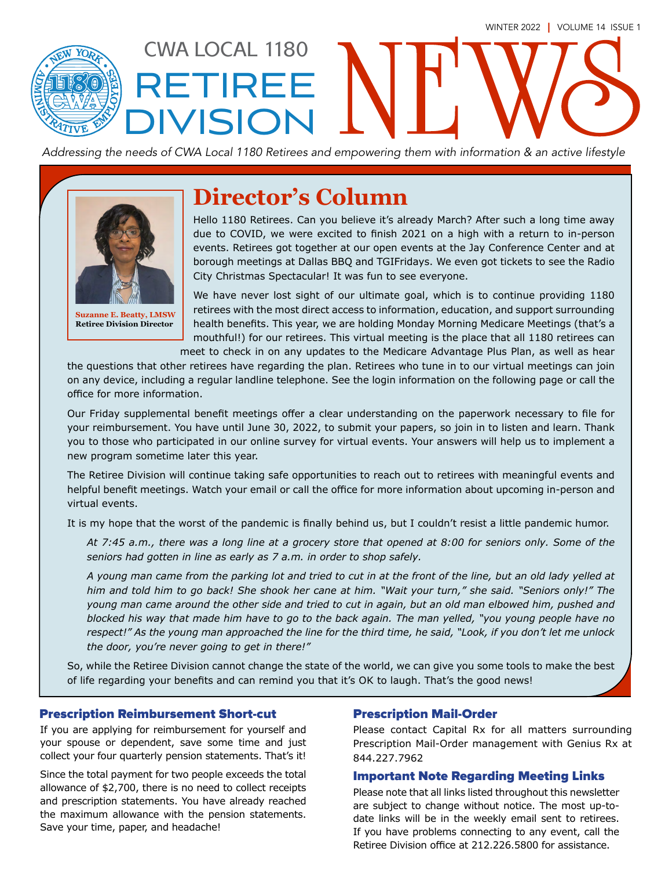

# RETIREE DIVISION

CWA LOCAL 1180

*Addressing the needs of CWA Local 1180 Retirees and empowering them with information & an active lifestyle*



**Suzanne E. Beatty, LMSW Retiree Division Director**

### **Director's Column**

Hello 1180 Retirees. Can you believe it's already March? After such a long time away due to COVID, we were excited to finish 2021 on a high with a return to in-person events. Retirees got together at our open events at the Jay Conference Center and at borough meetings at Dallas BBQ and TGIFridays. We even got tickets to see the Radio City Christmas Spectacular! It was fun to see everyone.

We have never lost sight of our ultimate goal, which is to continue providing 1180 retirees with the most direct access to information, education, and support surrounding health benefits. This year, we are holding Monday Morning Medicare Meetings (that's a mouthful!) for our retirees. This virtual meeting is the place that all 1180 retirees can meet to check in on any updates to the Medicare Advantage Plus Plan, as well as hear

the questions that other retirees have regarding the plan. Retirees who tune in to our virtual meetings can join on any device, including a regular landline telephone. See the login information on the following page or call the office for more information.

Our Friday supplemental benefit meetings offer a clear understanding on the paperwork necessary to file for your reimbursement. You have until June 30, 2022, to submit your papers, so join in to listen and learn. Thank you to those who participated in our online survey for virtual events. Your answers will help us to implement a new program sometime later this year.

The Retiree Division will continue taking safe opportunities to reach out to retirees with meaningful events and helpful benefit meetings. Watch your email or call the office for more information about upcoming in-person and virtual events.

It is my hope that the worst of the pandemic is finally behind us, but I couldn't resist a little pandemic humor.

*At 7:45 a.m., there was a long line at a grocery store that opened at 8:00 for seniors only. Some of the seniors had gotten in line as early as 7 a.m. in order to shop safely.* 

*A young man came from the parking lot and tried to cut in at the front of the line, but an old lady yelled at him and told him to go back! She shook her cane at him. "Wait your turn," she said. "Seniors only!" The young man came around the other side and tried to cut in again, but an old man elbowed him, pushed and blocked his way that made him have to go to the back again. The man yelled, "you young people have no respect!" As the young man approached the line for the third time, he said, "Look, if you don't let me unlock the door, you're never going to get in there!"*

So, while the Retiree Division cannot change the state of the world, we can give you some tools to make the best of life regarding your benefits and can remind you that it's OK to laugh. That's the good news!

#### Prescription Reimbursement Short-cut Prescription Mail-Order

If you are applying for reimbursement for yourself and your spouse or dependent, save some time and just collect your four quarterly pension statements. That's it!

Since the total payment for two people exceeds the total allowance of \$2,700, there is no need to collect receipts and prescription statements. You have already reached the maximum allowance with the pension statements. Save your time, paper, and headache!

Please contact Capital Rx for all matters surrounding Prescription Mail-Order management with Genius Rx at 844.227.7962

#### Important Note Regarding Meeting Links

Please note that all links listed throughout this newsletter are subject to change without notice. The most up-todate links will be in the weekly email sent to retirees. If you have problems connecting to any event, call the Retiree Division office at 212.226.5800 for assistance.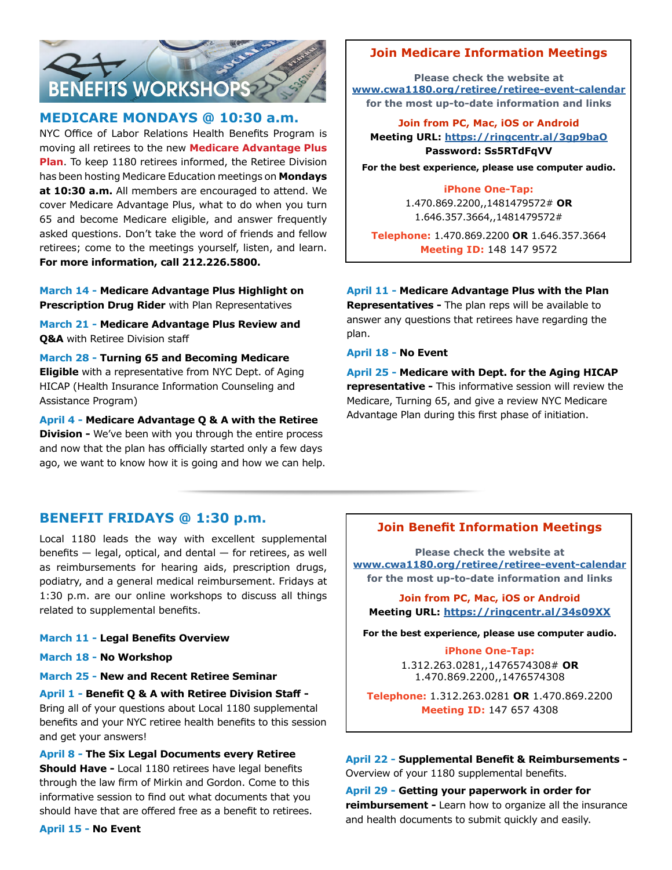

#### **MEDICARE MONDAYS @ 10:30 a.m.**

NYC Office of Labor Relations Health Benefits Program is moving all retirees to the new **Medicare Advantage Plus Plan**. To keep 1180 retirees informed, the Retiree Division has been hosting Medicare Education meetings on **Mondays at 10:30 a.m.** All members are encouraged to attend. We cover Medicare Advantage Plus, what to do when you turn 65 and become Medicare eligible, and answer frequently asked questions. Don't take the word of friends and fellow retirees; come to the meetings yourself, listen, and learn. **For more information, call 212.226.5800.**

**March 14 - Medicare Advantage Plus Highlight on Prescription Drug Rider** with Plan Representatives

**March 21 - Medicare Advantage Plus Review and Q&A** with Retiree Division staff

**March 28 - Turning 65 and Becoming Medicare Eligible** with a representative from NYC Dept. of Aging HICAP (Health Insurance Information Counseling and Assistance Program)

**April 4 - Medicare Advantage Q & A with the Retiree Division -** We've been with you through the entire process and now that the plan has officially started only a few days ago, we want to know how it is going and how we can help.

#### **Join Medicare Information Meetings**

**Please check the website at [www.cwa1180.org/retiree/retiree-event-calendar](http://www.cwa1180.org/retiree/retiree-event-calendar) for the most up-to-date information and links**

**Join from PC, Mac, iOS or Android Meeting [URL:](http://meetings.ringcentral.com/j/1481479572?pwd=
TE1wOERQNVEreGR0ZVUzU3RrWXZvUT09) <https://ringcentr.al/3gp9baO> Password: Ss5RTdFqVV**

**For the best experience, please use computer audio.**

#### **iPhone One-Tap:**

1.470.869.2200,,1481479572# **OR**  1.646.357.3664,,1481479572#

**Telephone:** 1.470.869.2200 **OR** 1.646.357.3664 **Meeting ID:** 148 147 9572

#### **April 11 - Medicare Advantage Plus with the Plan**

**Representatives -** The plan reps will be available to answer any questions that retirees have regarding the plan.

**April 18 - No Event**

**April 25 - Medicare with Dept. for the Aging HICAP representative -** This informative session will review the Medicare, Turning 65, and give a review NYC Medicare Advantage Plan during this first phase of initiation.

#### **BENEFIT FRIDAYS @ 1:30 p.m.**

Local 1180 leads the way with excellent supplemental benefits  $-$  legal, optical, and dental  $-$  for retirees, as well as reimbursements for hearing aids, prescription drugs, podiatry, and a general medical reimbursement. Fridays at 1:30 p.m. are our online workshops to discuss all things related to supplemental benefits.

#### **March 11 - Legal Benefits Overview**

**March 18 - No Workshop**

**March 25 - New and Recent Retiree Seminar**

**April 1 - Benefit Q & A with Retiree Division Staff -**  Bring all of your questions about Local 1180 supplemental benefits and your NYC retiree health benefits to this session and get your answers!

**April 8 - The Six Legal Documents every Retiree Should Have -** Local 1180 retirees have legal benefits through the law firm of Mirkin and Gordon. Come to this informative session to find out what documents that you should have that are offered free as a benefit to retirees.

#### **April 15 - No Event**

#### **Join Benefit Information Meetings**

**Please check the website at [www.cwa1180.org/retiree/retiree-event-calendar](http://www.cwa1180.org/retiree/retiree-event-calendar) for the most up-to-date information and links**

**Join from PC, Mac, iOS or Android Meeting [URL:](http://meetings.ringcentral.com/j/1481479572?pwd=
TE1wOERQNVEreGR0ZVUzU3RrWXZvUT09) <https://ringcentr.al/34s09XX>**

**For the best experience, please use computer audio.**

**iPhone One-Tap:** 1.312.263.0281,,1476574308# **OR** 1.470.869.2200,,1476574308

**Telephone:** 1.312.263.0281 **OR** 1.470.869.2200 **Meeting ID:** 147 657 4308

**April 22 - Supplemental Benefit & Reimbursements -**  Overview of your 1180 supplemental benefits.

**April 29 - Getting your paperwork in order for reimbursement -** Learn how to organize all the insurance and health documents to submit quickly and easily.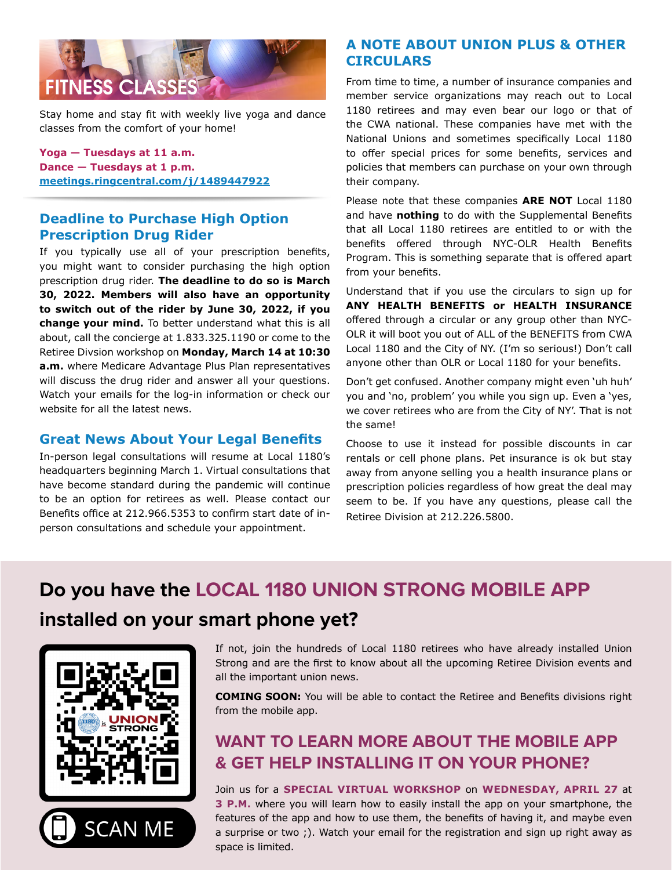

Stay home and stay fit with weekly live yoga and dance classes from the comfort of your home!

**Yoga — Tuesdays at 11 a.m. Dance — Tuesdays at 1 p.m. [meetings.ringcentral.com/j/1489447922](http://meetings.ringcentral.com/j/1489447922)**

#### **Deadline to Purchase High Option Prescription Drug Rider**

If you typically use all of your prescription benefits, you might want to consider purchasing the high option prescription drug rider. **The deadline to do so is March 30, 2022. Members will also have an opportunity to switch out of the rider by June 30, 2022, if you change your mind.** To better understand what this is all about, call the concierge at 1.833.325.1190 or come to the Retiree Divsion workshop on **Monday, March 14 at 10:30 a.m.** where Medicare Advantage Plus Plan representatives will discuss the drug rider and answer all your questions. Watch your emails for the log-in information or check our website for all the latest news.

#### **Great News About Your Legal Benefits**

In-person legal consultations will resume at Local 1180's headquarters beginning March 1. Virtual consultations that have become standard during the pandemic will continue to be an option for retirees as well. Please contact our Benefits office at 212.966.5353 to confirm start date of inperson consultations and schedule your appointment.

#### **A NOTE ABOUT UNION PLUS & OTHER CIRCULARS**

From time to time, a number of insurance companies and member service organizations may reach out to Local 1180 retirees and may even bear our logo or that of the CWA national. These companies have met with the National Unions and sometimes specifically Local 1180 to offer special prices for some benefits, services and policies that members can purchase on your own through their company.

Please note that these companies **ARE NOT** Local 1180 and have **nothing** to do with the Supplemental Benefits that all Local 1180 retirees are entitled to or with the benefits offered through NYC-OLR Health Benefits Program. This is something separate that is offered apart from your benefits.

Understand that if you use the circulars to sign up for **ANY HEALTH BENEFITS or HEALTH INSURANCE** offered through a circular or any group other than NYC-OLR it will boot you out of ALL of the BENEFITS from CWA Local 1180 and the City of NY. (I'm so serious!) Don't call anyone other than OLR or Local 1180 for your benefits.

Don't get confused. Another company might even 'uh huh' you and 'no, problem' you while you sign up. Even a 'yes, we cover retirees who are from the City of NY'. That is not the same!

Choose to use it instead for possible discounts in car rentals or cell phone plans. Pet insurance is ok but stay away from anyone selling you a health insurance plans or prescription policies regardless of how great the deal may seem to be. If you have any questions, please call the Retiree Division at 212.226.5800.

## **Do you have the LOCAL 1180 UNION STRONG MOBILE APP installed on your smart phone yet?**



If not, join the hundreds of Local 1180 retirees who have already installed Union Strong and are the first to know about all the upcoming Retiree Division events and all the important union news.

**COMING SOON:** You will be able to contact the Retiree and Benefits divisions right from the mobile app.

### **WANT TO LEARN MORE ABOUT THE MOBILE APP & GET HELP INSTALLING IT ON YOUR PHONE?**

Join us for a **SPECIAL VIRTUAL WORKSHOP** on **WEDNESDAY, APRIL 27** at **3 P.M.** where you will learn how to easily install the app on your smartphone, the features of the app and how to use them, the benefits of having it, and maybe even a surprise or two ;). Watch your email for the registration and sign up right away as space is limited.